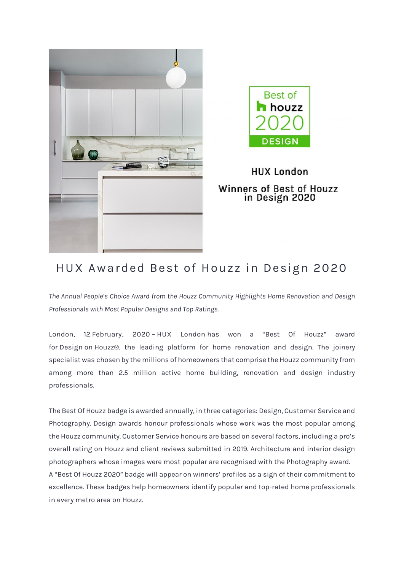



## **HUX London** Winners of Best of Houzz in Design 2020

## **HUX Awarded Best of Houzz in Design 2020**

*The Annual People's Choice Award from the Houzz Community Highlights Home Renovation and Design Professionals with Most Popular Designs and Top Ratings.*

**London**, 12 **February, 2020** – **HUX London** has won a "Best Of Houzz" award for **Design** on [Houzz®](http://www.houzz.co.uk/), the leading platform for home renovation and design. The joinery specialist was chosen by the millions of homeowners that comprise the Houzz community from among more than 2.5 million active home building, renovation and design industry professionals.

The Best Of Houzz badge is awarded annually, in three categories: Design, Customer Service and Photography. Design awards honour professionals whose work was the most popular among the Houzz community. Customer Service honours are based on several factors, including a pro's overall rating on Houzz and client reviews submitted in 2019. Architecture and interior design photographers whose images were most popular are recognised with the Photography award. A "Best Of Houzz 2020" badge will appear on winners' profiles as a sign of their commitment to excellence. These badges help homeowners identify popular and top-rated home professionals in every metro area on Houzz.